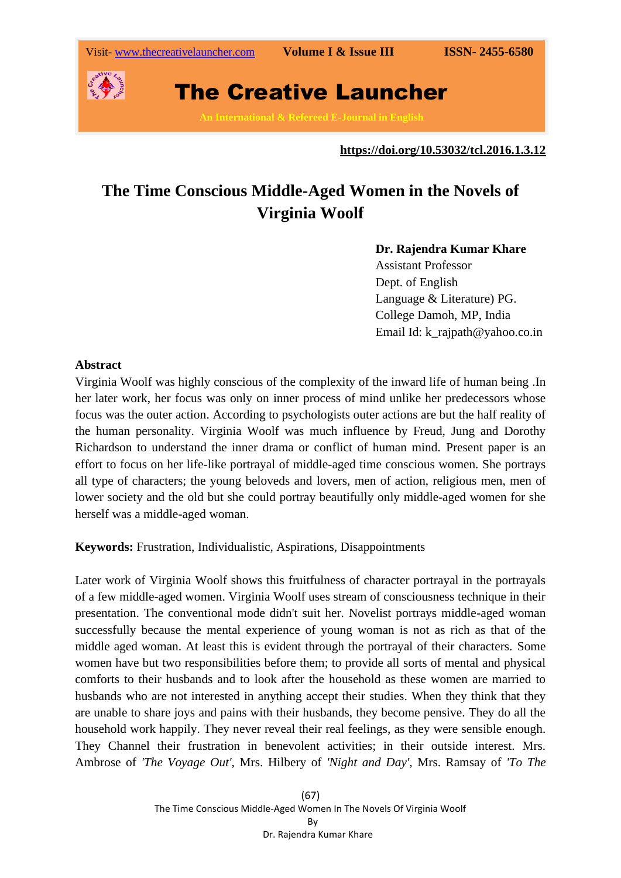

### **https://doi.org/10.53032/tcl.2016.1.3.12**

# **The Time Conscious Middle-Aged Women in the Novels of Virginia Woolf**

## **Dr. Rajendra Kumar Khare**

Assistant Professor Dept. of English Language & Literature) PG. College Damoh, MP, India Email Id: k\_rajpath@yahoo.co.in

### **Abstract**

Virginia Woolf was highly conscious of the complexity of the inward life of human being .In her later work, her focus was only on inner process of mind unlike her predecessors whose focus was the outer action. According to psychologists outer actions are but the half reality of the human personality. Virginia Woolf was much influence by Freud, Jung and Dorothy Richardson to understand the inner drama or conflict of human mind. Present paper is an effort to focus on her life-like portrayal of middle-aged time conscious women. She portrays all type of characters; the young beloveds and lovers, men of action, religious men, men of lower society and the old but she could portray beautifully only middle-aged women for she herself was a middle-aged woman.

**Keywords:** Frustration, Individualistic, Aspirations, Disappointments

Later work of Virginia Woolf shows this fruitfulness of character portrayal in the portrayals of a few middle-aged women. Virginia Woolf uses stream of consciousness technique in their presentation. The conventional mode didn't suit her. Novelist portrays middle-aged woman successfully because the mental experience of young woman is not as rich as that of the middle aged woman. At least this is evident through the portrayal of their characters. Some women have but two responsibilities before them; to provide all sorts of mental and physical comforts to their husbands and to look after the household as these women are married to husbands who are not interested in anything accept their studies. When they think that they are unable to share joys and pains with their husbands, they become pensive. They do all the household work happily. They never reveal their real feelings, as they were sensible enough. They Channel their frustration in benevolent activities; in their outside interest. Mrs. Ambrose of *'The Voyage Out',* Mrs. Hilbery of *'Night and Day',* Mrs. Ramsay of *'To The*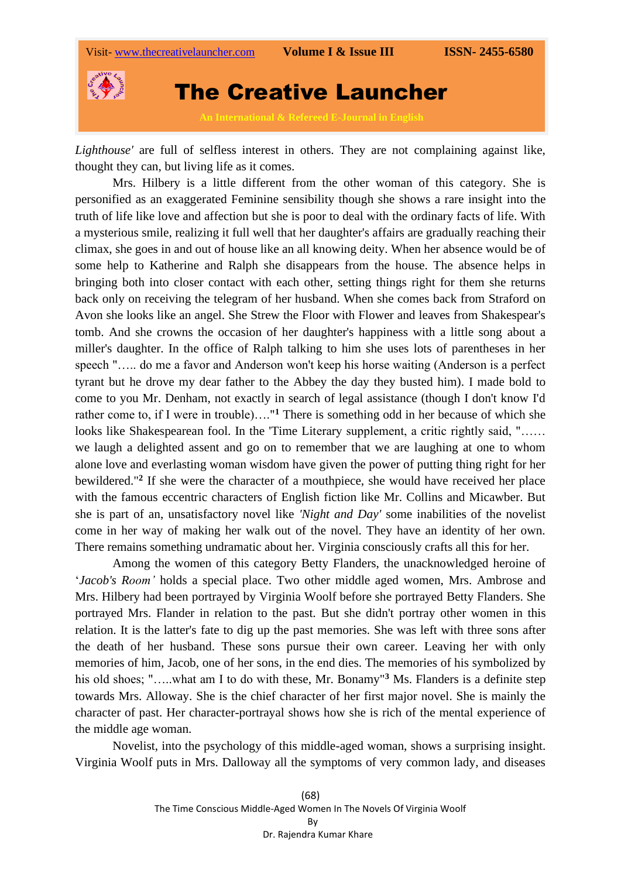

*Lighthouse'* are full of selfless interest in others. They are not complaining against like, thought they can, but living life as it comes.

Mrs. Hilbery is a little different from the other woman of this category. She is personified as an exaggerated Feminine sensibility though she shows a rare insight into the truth of life like love and affection but she is poor to deal with the ordinary facts of life. With a mysterious smile, realizing it full well that her daughter's affairs are gradually reaching their climax, she goes in and out of house like an all knowing deity. When her absence would be of some help to Katherine and Ralph she disappears from the house. The absence helps in bringing both into closer contact with each other, setting things right for them she returns back only on receiving the telegram of her husband. When she comes back from Straford on Avon she looks like an angel. She Strew the Floor with Flower and leaves from Shakespear's tomb. And she crowns the occasion of her daughter's happiness with a little song about a miller's daughter. In the office of Ralph talking to him she uses lots of parentheses in her speech "….. do me a favor and Anderson won't keep his horse waiting (Anderson is a perfect tyrant but he drove my dear father to the Abbey the day they busted him). I made bold to come to you Mr. Denham, not exactly in search of legal assistance (though I don't know I'd rather come to, if I were in trouble)…."**<sup>1</sup>** There is something odd in her because of which she looks like Shakespearean fool. In the 'Time Literary supplement, a critic rightly said, "…… we laugh a delighted assent and go on to remember that we are laughing at one to whom alone love and everlasting woman wisdom have given the power of putting thing right for her bewildered."**<sup>2</sup>** If she were the character of a mouthpiece, she would have received her place with the famous eccentric characters of English fiction like Mr. Collins and Micawber. But she is part of an, unsatisfactory novel like *'Night and Day'* some inabilities of the novelist come in her way of making her walk out of the novel. They have an identity of her own. There remains something undramatic about her. Virginia consciously crafts all this for her.

Among the women of this category Betty Flanders, the unacknowledged heroine of '*Jacob's Room'* holds a special place. Two other middle aged women, Mrs. Ambrose and Mrs. Hilbery had been portrayed by Virginia Woolf before she portrayed Betty Flanders. She portrayed Mrs. Flander in relation to the past. But she didn't portray other women in this relation. It is the latter's fate to dig up the past memories. She was left with three sons after the death of her husband. These sons pursue their own career. Leaving her with only memories of him, Jacob, one of her sons, in the end dies. The memories of his symbolized by his old shoes; "…..what am I to do with these, Mr. Bonamy"**<sup>3</sup>** Ms. Flanders is a definite step towards Mrs. Alloway. She is the chief character of her first major novel. She is mainly the character of past. Her character-portrayal shows how she is rich of the mental experience of the middle age woman.

Novelist, into the psychology of this middle-aged woman, shows a surprising insight. Virginia Woolf puts in Mrs. Dalloway all the symptoms of very common lady, and diseases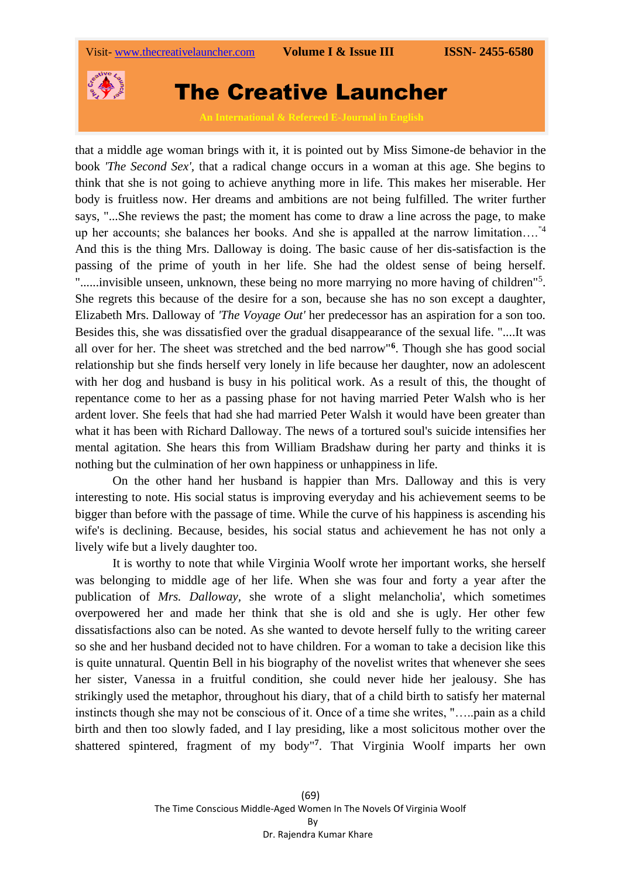

that a middle age woman brings with it, it is pointed out by Miss Simone-de behavior in the book *'The Second Sex',* that a radical change occurs in a woman at this age. She begins to think that she is not going to achieve anything more in life. This makes her miserable. Her body is fruitless now. Her dreams and ambitions are not being fulfilled. The writer further says, "...She reviews the past; the moment has come to draw a line across the page, to make up her accounts; she balances her books. And she is appalled at the narrow limitation....<sup>"4</sup> And this is the thing Mrs. Dalloway is doing. The basic cause of her dis-satisfaction is the passing of the prime of youth in her life. She had the oldest sense of being herself. "......invisible unseen, unknown, these being no more marrying no more having of children"<sup>5</sup>. She regrets this because of the desire for a son, because she has no son except a daughter, Elizabeth Mrs. Dalloway of *'The Voyage Out'* her predecessor has an aspiration for a son too. Besides this, she was dissatisfied over the gradual disappearance of the sexual life. "....It was all over for her. The sheet was stretched and the bed narrow"**<sup>6</sup>** . Though she has good social relationship but she finds herself very lonely in life because her daughter, now an adolescent with her dog and husband is busy in his political work. As a result of this, the thought of repentance come to her as a passing phase for not having married Peter Walsh who is her ardent lover. She feels that had she had married Peter Walsh it would have been greater than what it has been with Richard Dalloway. The news of a tortured soul's suicide intensifies her mental agitation. She hears this from William Bradshaw during her party and thinks it is nothing but the culmination of her own happiness or unhappiness in life.

On the other hand her husband is happier than Mrs. Dalloway and this is very interesting to note. His social status is improving everyday and his achievement seems to be bigger than before with the passage of time. While the curve of his happiness is ascending his wife's is declining. Because, besides, his social status and achievement he has not only a lively wife but a lively daughter too.

It is worthy to note that while Virginia Woolf wrote her important works, she herself was belonging to middle age of her life. When she was four and forty a year after the publication of *Mrs. Dalloway,* she wrote of a slight melancholia', which sometimes overpowered her and made her think that she is old and she is ugly. Her other few dissatisfactions also can be noted. As she wanted to devote herself fully to the writing career so she and her husband decided not to have children. For a woman to take a decision like this is quite unnatural. Quentin Bell in his biography of the novelist writes that whenever she sees her sister, Vanessa in a fruitful condition, she could never hide her jealousy. She has strikingly used the metaphor, throughout his diary, that of a child birth to satisfy her maternal instincts though she may not be conscious of it. Once of a time she writes, "…..pain as a child birth and then too slowly faded, and I lay presiding, like a most solicitous mother over the shattered spintered, fragment of my body"**<sup>7</sup>** . That Virginia Woolf imparts her own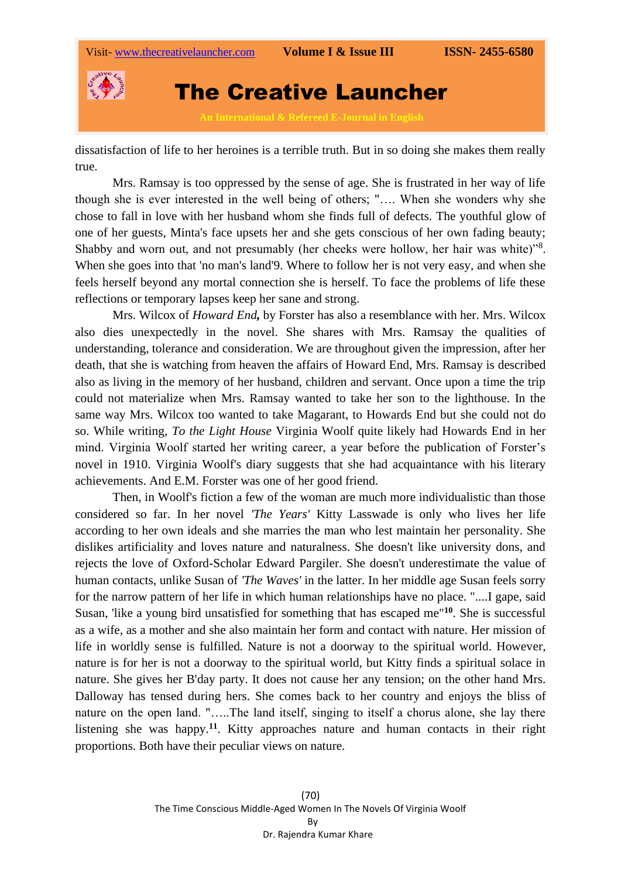

dissatisfaction of life to her heroines is a terrible truth. But in so doing she makes them really true.

Mrs. Ramsay is too oppressed by the sense of age. She is frustrated in her way of life though she is ever interested in the well being of others; "…. When she wonders why she chose to fall in love with her husband whom she finds full of defects. The youthful glow of one of her guests, Minta's face upsets her and she gets conscious of her own fading beauty; Shabby and worn out, and not presumably (her cheeks were hollow, her hair was white)"<sup>8</sup>. When she goes into that 'no man's land'9. Where to follow her is not very easy, and when she feels herself beyond any mortal connection she is herself. To face the problems of life these reflections or temporary lapses keep her sane and strong.

Mrs. Wilcox of *Howard End,* by Forster has also a resemblance with her. Mrs. Wilcox also dies unexpectedly in the novel. She shares with Mrs. Ramsay the qualities of understanding, tolerance and consideration. We are throughout given the impression, after her death, that she is watching from heaven the affairs of Howard End, Mrs. Ramsay is described also as living in the memory of her husband, children and servant. Once upon a time the trip could not materialize when Mrs. Ramsay wanted to take her son to the lighthouse. In the same way Mrs. Wilcox too wanted to take Magarant, to Howards End but she could not do so. While writing, *To the Light House* Virginia Woolf quite likely had Howards End in her mind. Virginia Woolf started her writing career, a year before the publication of Forster's novel in 1910. Virginia Woolf's diary suggests that she had acquaintance with his literary achievements. And E.M. Forster was one of her good friend.

Then, in Woolf's fiction a few of the woman are much more individualistic than those considered so far. In her novel *'The Years'* Kitty Lasswade is only who lives her life according to her own ideals and she marries the man who lest maintain her personality. She dislikes artificiality and loves nature and naturalness. She doesn't like university dons, and rejects the love of Oxford-Scholar Edward Pargiler. She doesn't underestimate the value of human contacts, unlike Susan of *'The Waves'* in the latter. In her middle age Susan feels sorry for the narrow pattern of her life in which human relationships have no place. "....I gape, said Susan, 'like a young bird unsatisfied for something that has escaped me"**<sup>10</sup>**. She is successful as a wife, as a mother and she also maintain her form and contact with nature. Her mission of life in worldly sense is fulfilled. Nature is not a doorway to the spiritual world. However, nature is for her is not a doorway to the spiritual world, but Kitty finds a spiritual solace in nature. She gives her B'day party. It does not cause her any tension; on the other hand Mrs. Dalloway has tensed during hers. She comes back to her country and enjoys the bliss of nature on the open land. "…..The land itself, singing to itself a chorus alone, she lay there listening she was happy.**<sup>11</sup>** . Kitty approaches nature and human contacts in their right proportions. Both have their peculiar views on nature.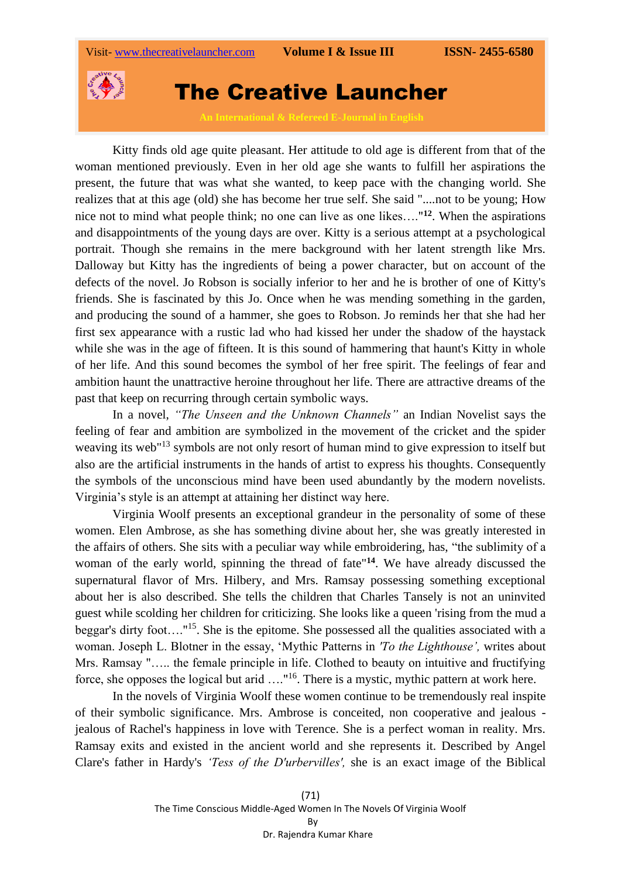

Kitty finds old age quite pleasant. Her attitude to old age is different from that of the woman mentioned previously. Even in her old age she wants to fulfill her aspirations the present, the future that was what she wanted, to keep pace with the changing world. She realizes that at this age (old) she has become her true self. She said "....not to be young; How nice not to mind what people think; no one can live as one likes…."**<sup>12</sup>**. When the aspirations and disappointments of the young days are over. Kitty is a serious attempt at a psychological portrait. Though she remains in the mere background with her latent strength like Mrs. Dalloway but Kitty has the ingredients of being a power character, but on account of the defects of the novel. Jo Robson is socially inferior to her and he is brother of one of Kitty's friends. She is fascinated by this Jo. Once when he was mending something in the garden, and producing the sound of a hammer, she goes to Robson. Jo reminds her that she had her first sex appearance with a rustic lad who had kissed her under the shadow of the haystack while she was in the age of fifteen. It is this sound of hammering that haunt's Kitty in whole of her life. And this sound becomes the symbol of her free spirit. The feelings of fear and ambition haunt the unattractive heroine throughout her life. There are attractive dreams of the past that keep on recurring through certain symbolic ways.

In a novel, *"The Unseen and the Unknown Channels"* an Indian Novelist says the feeling of fear and ambition are symbolized in the movement of the cricket and the spider weaving its web<sup>"13</sup> symbols are not only resort of human mind to give expression to itself but also are the artificial instruments in the hands of artist to express his thoughts. Consequently the symbols of the unconscious mind have been used abundantly by the modern novelists. Virginia's style is an attempt at attaining her distinct way here.

Virginia Woolf presents an exceptional grandeur in the personality of some of these women. Elen Ambrose, as she has something divine about her, she was greatly interested in the affairs of others. She sits with a peculiar way while embroidering, has, "the sublimity of a woman of the early world, spinning the thread of fate"**<sup>14</sup>**. We have already discussed the supernatural flavor of Mrs. Hilbery, and Mrs. Ramsay possessing something exceptional about her is also described. She tells the children that Charles Tansely is not an uninvited guest while scolding her children for criticizing. She looks like a queen 'rising from the mud a beggar's dirty foot...."<sup>15</sup>. She is the epitome. She possessed all the qualities associated with a woman. Joseph L. Blotner in the essay, 'Mythic Patterns in *'To the Lighthouse',* writes about Mrs. Ramsay "….. the female principle in life. Clothed to beauty on intuitive and fructifying force, she opposes the logical but arid ...."<sup>16</sup>. There is a mystic, mythic pattern at work here.

In the novels of Virginia Woolf these women continue to be tremendously real inspite of their symbolic significance. Mrs. Ambrose is conceited, non cooperative and jealous jealous of Rachel's happiness in love with Terence. She is a perfect woman in reality. Mrs. Ramsay exits and existed in the ancient world and she represents it. Described by Angel Clare's father in Hardy's *'Tess of the D'urbervilles',* she is an exact image of the Biblical